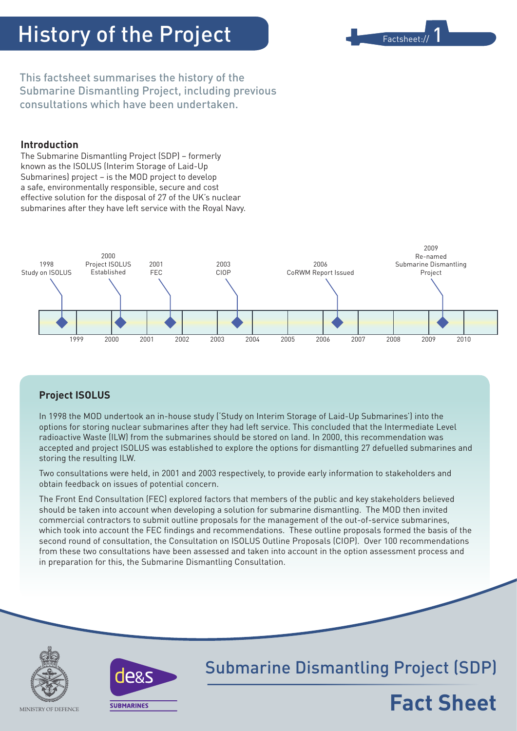# History of the Project



This factsheet summarises the history of the Submarine Dismantling Project, including previous consultations which have been undertaken.

# **Introduction**

The Submarine Dismantling Project (SDP) – formerly known as the ISOLUS (Interim Storage of Laid-Up Submarines) project – is the MOD project to develop a safe, environmentally responsible, secure and cost effective solution for the disposal of 27 of the UK's nuclear submarines after they have left service with the Royal Navy.



# **Project ISOLUS**

In 1998 the MOD undertook an in-house study ('Study on Interim Storage of Laid-Up Submarines') into the options for storing nuclear submarines after they had left service. This concluded that the Intermediate Level radioactive Waste (ILW) from the submarines should be stored on land. In 2000, this recommendation was accepted and project ISOLUS was established to explore the options for dismantling 27 defuelled submarines and storing the resulting ILW.

Two consultations were held, in 2001 and 2003 respectively, to provide early information to stakeholders and obtain feedback on issues of potential concern.

The Front End Consultation (FEC) explored factors that members of the public and key stakeholders believed should be taken into account when developing a solution for submarine dismantling. The MOD then invited commercial contractors to submit outline proposals for the management of the out-of-service submarines, which took into account the FEC findings and recommendations. These outline proposals formed the basis of the second round of consultation, the Consultation on ISOLUS Outline Proposals (CIOP). Over 100 recommendations from these two consultations have been assessed and taken into account in the option assessment process and in preparation for this, the Submarine Dismantling Consultation.